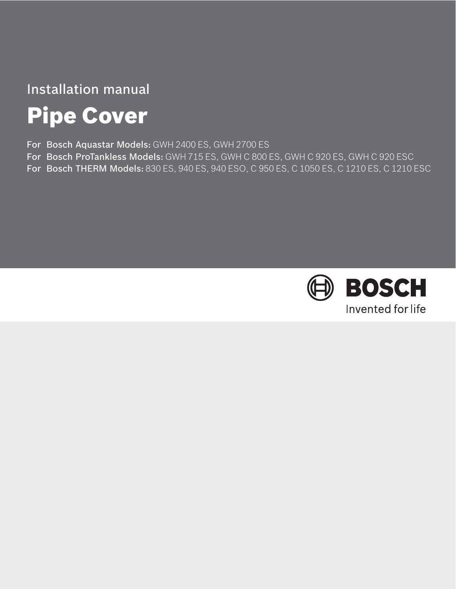# Installation manual

# Pipe Cover

For Bosch Aquastar Models: GWH 2400 ES, GWH 2700 ES

- For Bosch ProTankless Models: GWH 715 ES, GWH C 800 ES, GWH C 920 ES, GWH C 920 ESC
- For Bosch THERM Models: 830 ES, 940 ES, 940 ESO, C 950 ES, C 1050 ES, C 1210 ES, C 1210 ESC

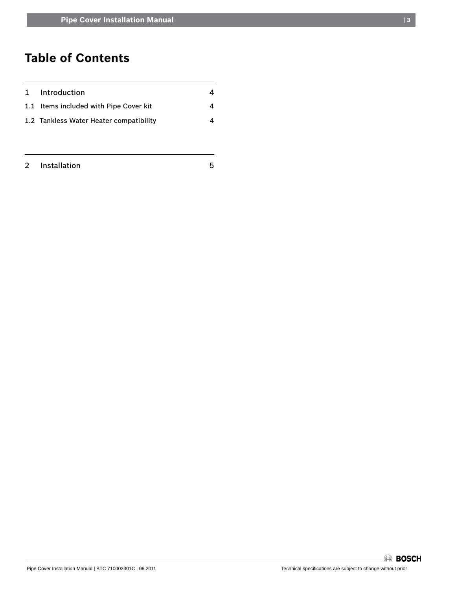# **Table of Contents**

| 1 Introduction                          |   |
|-----------------------------------------|---|
| 1.1 Items included with Pipe Cover kit  | Λ |
| 1.2 Tankless Water Heater compatibility | Λ |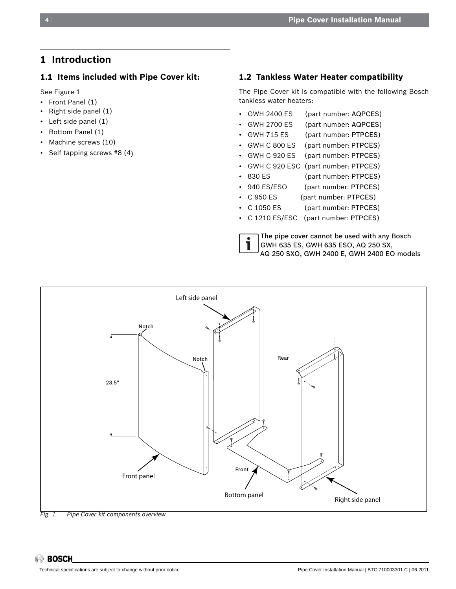## **1 Introduction**

#### **1.1 Items included with Pipe Cover kit:**

See Figure 1

- Front Panel (1)
- Right side panel (1)
- Left side panel (1)
- Bottom Panel (1)
- Machine screws (10)
- Self tapping screws #8 (4)

#### **1.2 Tankless Water Heater compatibility**

The Pipe Cover kit is compatible with the following Bosch tankless water heaters:

> The pipe cover cannot be used with any Bosch GWH 635 ES, GWH 635 ESO, AQ 250 SX,

- GWH 2400 ES (part number: AQPCES)
- GWH 2700 ES (part number: AQPCES)
- GWH 715 ES (part number: PTPCES)
- GWH C 800 ES (part number: PTPCES)
- GWH C 920 ES (part number: PTPCES)
- GWH C 920 ESC (part number: PTPCES)
- 830 ES (part number: PTPCES)
- 940 ES/ESO (part number: PTPCES)
- C 950 ES (part number: PTPCES)
- C 1050 ES (part number: PTPCES)
- C 1210 ES/ESC (part number: PTPCES)



i

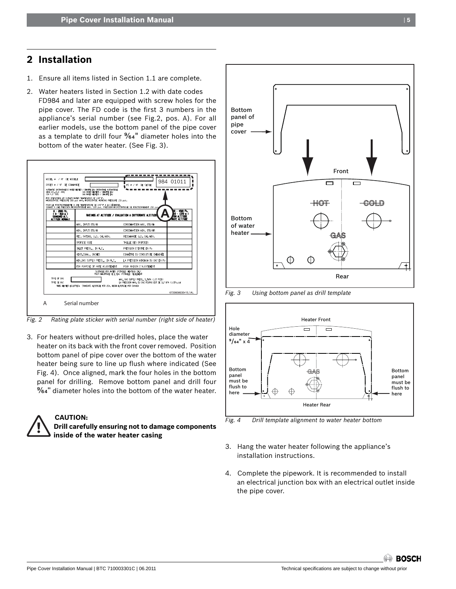## **2 Installation**

- 1. Ensure all items listed in Section 1.1 are complete.
- 2. Water heaters listed in Section 1.2 with date codes FD984 and later are equipped with screw holes for the pipe cover. The FD code is the first 3 numbers in the appliance's serial number (see Fig.2, pos. A). For all earlier models, use the bottom panel of the pipe cover as a template to drill four %4" diameter holes into the bottom of the water heater. (See Fig. 3).



*Fig. 2 Rating plate sticker with serial number (right side of heater)*

3. For heaters without pre-drilled holes, place the water heater on its back with the front cover removed. Position bottom panel of pipe cover over the bottom of the water heater being sure to line up flush where indicated (See Fig. 4). Once aligned, mark the four holes in the bottom panel for drilling. Remove bottom panel and drill four %4" diameter holes into the bottom of the water heater.



### **CAUTION:**

**Drill carefully ensuring not to damage components inside of the water heater casing**



#### *Fig. 3 Using bottom panel as drill template*



*Fig. 4 Drill template alignment to water heater bottom* 

- 3. Hang the water heater following the appliance's installation instructions.
- 4. Complete the pipework. It is recommended to install an electrical junction box with an electrical outlet inside the pipe cover.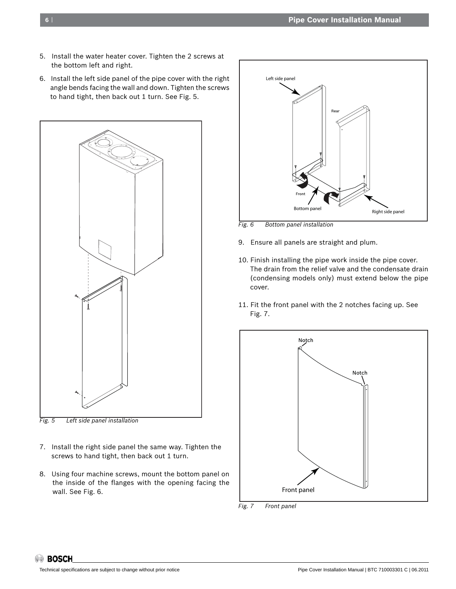- 5. Install the water heater cover. Tighten the 2 screws at the bottom left and right.
- 6. Install the left side panel of the pipe cover with the right angle bends facing the wall and down. Tighten the screws to hand tight, then back out 1 turn. See Fig. 5.



- *Fig. 5 Left side panel installation*
- 7. Install the right side panel the same way. Tighten the screws to hand tight, then back out 1 turn.
- 8. Using four machine screws, mount the bottom panel on the inside of the flanges with the opening facing the wall. See Fig. 6.



*Fig. 6 Bottom panel installation*

- 9. Ensure all panels are straight and plum.
- 10. Finish installing the pipe work inside the pipe cover. The drain from the relief valve and the condensate drain (condensing models only) must extend below the pipe cover.
- 11. Fit the front panel with the 2 notches facing up. See Fig. 7.



*Fig. 7 Front panel*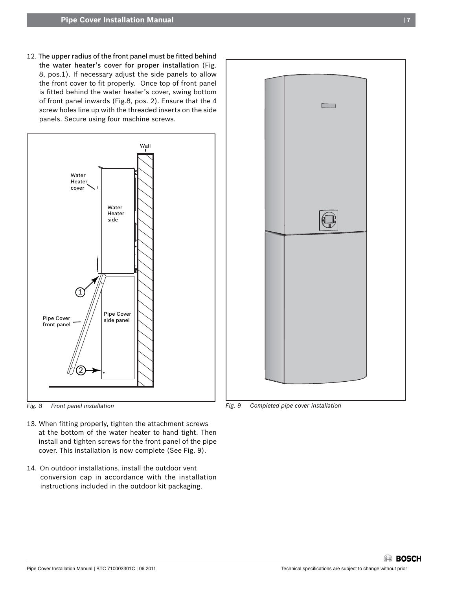12. The upper radius of the front panel must be fitted behind the water heater's cover for proper installation (Fig. 8, pos.1). If necessary adjust the side panels to allow the front cover to fit properly. Once top of front panel is fitted behind the water heater's cover, swing bottom of front panel inwards (Fig.8, pos. 2). Ensure that the 4 screw holes line up with the threaded inserts on the side panels. Secure using four machine screws.



*Fig. 8 Front panel installation*

- 13. When fitting properly, tighten the attachment screws at the bottom of the water heater to hand tight. Then install and tighten screws for the front panel of the pipe cover. This installation is now complete (See Fig. 9).
- 14. On outdoor installations, install the outdoor vent conversion cap in accordance with the installation instructions included in the outdoor kit packaging.



*Fig. 9 Completed pipe cover installation*